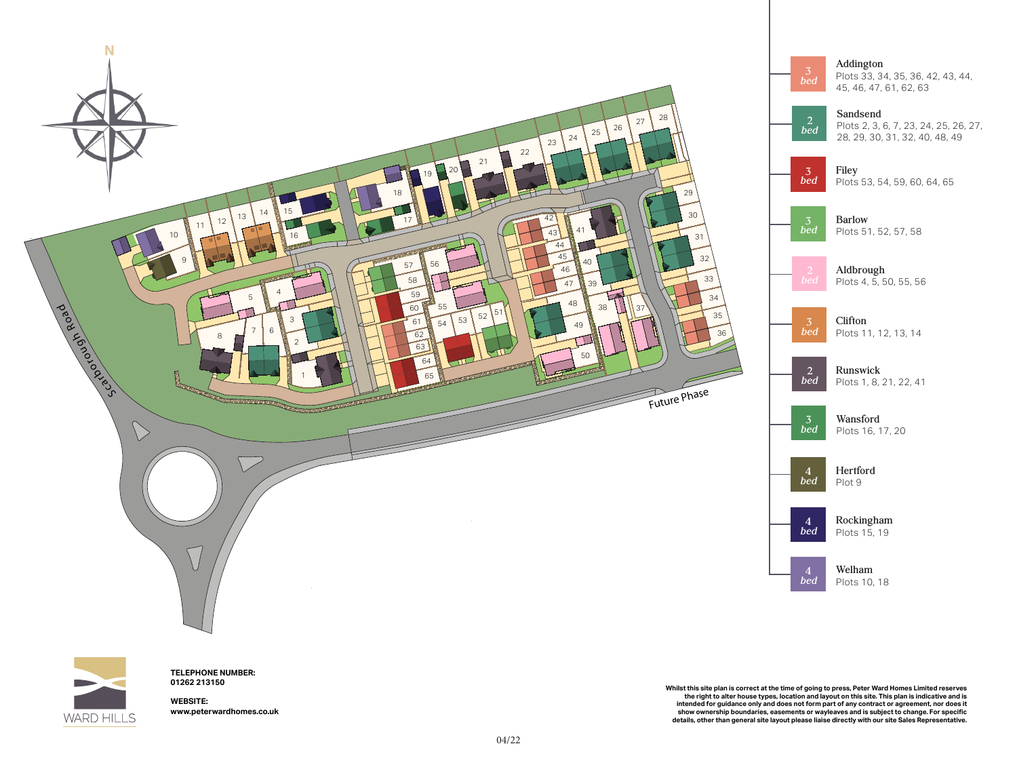**Addington** Plots 33, 34, 35, 36, 42, 43, 44, 45, 46, 47, 61, 62, 63

**3 bed**

**Whilst this site plan is correct at the time of going to press, Peter Ward Homes Limited reserves the right to alter house types, location and layout on this site. This plan is indicative and is intended for guidance only and does not form part of any contract or agreement, nor does it show ownership boundaries, easements or wayleaves and is subject to change. For specific details, other than general site layout please liaise directly with our site Sales Representative.**

**Rockingham bed** Plots 15, 19

*bed* 

**Hertford** Plot 9





**Barlow** Plots 51, 52, 57, 58

**3 bed** **Filey** Plots 53, 54, 59, 60, 64, 65

**3 bed**

> **Wansford** Plots 16, 17, 20

*<u>bed</u>* 

**3 bed**

**4**

**Welham bed** Plots 10, 18

**Sandsend** Plots 2, 3, 6, 7, 23, 24, 25, 26, 27, 28, 29, 30, 31, 32, 40, 48, 49

**bed 2**

> **Aldbrough bed** Plots 4, 5, 50, 55, 56

**2**

**Runswick bed** Plots 1, 8, 21, 22, 41

**Clifton** Plots 11, 12, 13, 14

 $\frac{2}{bed}$ 

**3 bed**